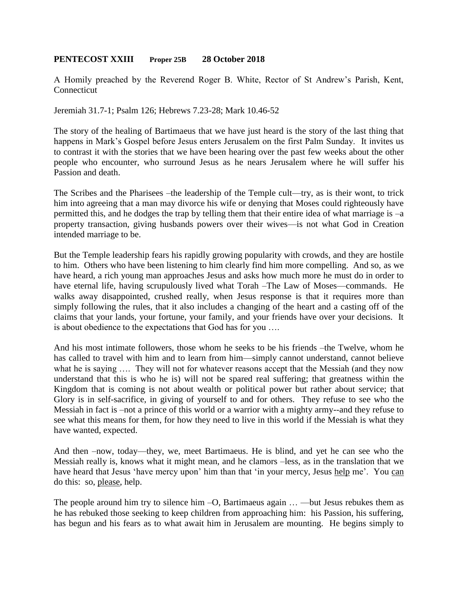## **PENTECOST XXIII Proper 25B 28 October 2018**

A Homily preached by the Reverend Roger B. White, Rector of St Andrew's Parish, Kent, Connecticut

Jeremiah 31.7-1; Psalm 126; Hebrews 7.23-28; Mark 10.46-52

The story of the healing of Bartimaeus that we have just heard is the story of the last thing that happens in Mark's Gospel before Jesus enters Jerusalem on the first Palm Sunday. It invites us to contrast it with the stories that we have been hearing over the past few weeks about the other people who encounter, who surround Jesus as he nears Jerusalem where he will suffer his Passion and death.

The Scribes and the Pharisees –the leadership of the Temple cult—try, as is their wont, to trick him into agreeing that a man may divorce his wife or denying that Moses could righteously have permitted this, and he dodges the trap by telling them that their entire idea of what marriage is –a property transaction, giving husbands powers over their wives—is not what God in Creation intended marriage to be.

But the Temple leadership fears his rapidly growing popularity with crowds, and they are hostile to him. Others who have been listening to him clearly find him more compelling. And so, as we have heard, a rich young man approaches Jesus and asks how much more he must do in order to have eternal life, having scrupulously lived what Torah –The Law of Moses—commands. He walks away disappointed, crushed really, when Jesus response is that it requires more than simply following the rules, that it also includes a changing of the heart and a casting off of the claims that your lands, your fortune, your family, and your friends have over your decisions. It is about obedience to the expectations that God has for you ….

And his most intimate followers, those whom he seeks to be his friends –the Twelve, whom he has called to travel with him and to learn from him—simply cannot understand, cannot believe what he is saying .... They will not for whatever reasons accept that the Messiah (and they now understand that this is who he is) will not be spared real suffering; that greatness within the Kingdom that is coming is not about wealth or political power but rather about service; that Glory is in self-sacrifice, in giving of yourself to and for others. They refuse to see who the Messiah in fact is –not a prince of this world or a warrior with a mighty army--and they refuse to see what this means for them, for how they need to live in this world if the Messiah is what they have wanted, expected.

And then –now, today—they, we, meet Bartimaeus. He is blind, and yet he can see who the Messiah really is, knows what it might mean, and he clamors –less, as in the translation that we have heard that Jesus 'have mercy upon' him than that 'in your mercy, Jesus help me'. You can do this: so, please, help.

The people around him try to silence him –O, Bartimaeus again … —but Jesus rebukes them as he has rebuked those seeking to keep children from approaching him: his Passion, his suffering, has begun and his fears as to what await him in Jerusalem are mounting. He begins simply to